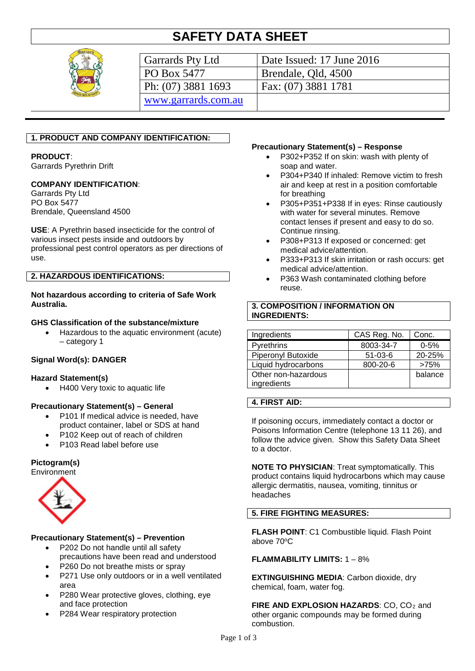# **SAFETY DATA SHEET**



| Garrards Pty Ltd    | Date Issued: 17 June 2016 |
|---------------------|---------------------------|
| PO Box 5477         | Brendale, Qld, 4500       |
| Ph: (07) 3881 1693  | Fax: (07) 3881 1781       |
| www.garrards.com.au |                           |

# **1. PRODUCT AND COMPANY IDENTIFICATION:**

#### **PRODUCT**:

Garrards Pyrethrin Drift

# **COMPANY IDENTIFICATION**:

Garrards Pty Ltd PO Box 5477 Brendale, Queensland 4500

**USE**: A Pyrethrin based insecticide for the control of various insect pests inside and outdoors by professional pest control operators as per directions of use.

#### **2. HAZARDOUS IDENTIFICATIONS:**

**Not hazardous according to criteria of Safe Work Australia.**

#### **GHS Classification of the substance/mixture**

• Hazardous to the aquatic environment (acute) – category 1

# **Signal Word(s): DANGER**

#### **Hazard Statement(s)**

• H400 Very toxic to aquatic life

# **Precautionary Statement(s) – General**

- P101 If medical advice is needed, have product container, label or SDS at hand
- P102 Keep out of reach of children
- P103 Read label before use

#### **Pictogram(s)**



# **Precautionary Statement(s) – Prevention**

- P202 Do not handle until all safety precautions have been read and understood
- P260 Do not breathe mists or spray
- P271 Use only outdoors or in a well ventilated area
- P280 Wear protective gloves, clothing, eye and face protection
- P284 Wear respiratory protection

#### **Precautionary Statement(s) – Response**

- P302+P352 If on skin: wash with plenty of soap and water.
- P304+P340 If inhaled: Remove victim to fresh air and keep at rest in a position comfortable for breathing
- P305+P351+P338 If in eyes: Rinse cautiously with water for several minutes. Remove contact lenses if present and easy to do so. Continue rinsing.
- P308+P313 If exposed or concerned: get medical advice/attention.
- P333+P313 If skin irritation or rash occurs: get medical advice/attention.
- P363 Wash contaminated clothing before reuse.

# **3. COMPOSITION / INFORMATION ON INGREDIENTS:**

| Ingredients         | CAS Reg. No.  | Conc.    |
|---------------------|---------------|----------|
| Pyrethrins          | 8003-34-7     | $0 - 5%$ |
| Piperonyl Butoxide  | $51 - 03 - 6$ | 20-25%   |
| Liquid hydrocarbons | 800-20-6      | >75%     |
| Other non-hazardous |               | balance  |
| ingredients         |               |          |

#### **4. FIRST AID:**

If poisoning occurs, immediately contact a doctor or Poisons Information Centre (telephone 13 11 26), and follow the advice given. Show this Safety Data Sheet to a doctor.

**NOTE TO PHYSICIAN**: Treat symptomatically. This product contains liquid hydrocarbons which may cause allergic dermatitis, nausea, vomiting, tinnitus or headaches

# **5. FIRE FIGHTING MEASURES:**

**FLASH POINT**: C1 Combustible liquid. Flash Point above 70oC

# **FLAMMABILITY LIMITS:** 1 – 8%

**EXTINGUISHING MEDIA**: Carbon dioxide, dry chemical, foam, water fog.

**FIRE AND EXPLOSION HAZARDS: CO, CO<sub>2</sub> and** other organic compounds may be formed during combustion.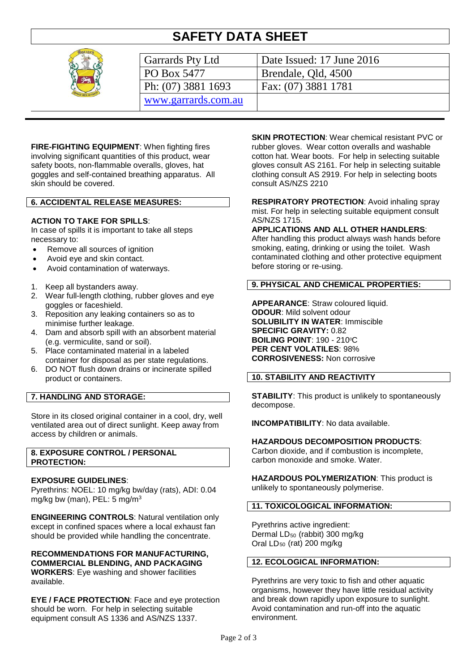# **SAFETY DATA SHEET**



| Garrards Pty Ltd    | Date Issued: 17 June 2016 |
|---------------------|---------------------------|
| PO Box 5477         | Brendale, Qld, 4500       |
| Ph: (07) 3881 1693  | Fax: (07) 3881 1781       |
| www.garrards.com.au |                           |

**FIRE-FIGHTING EQUIPMENT**: When fighting fires involving significant quantities of this product, wear safety boots, non-flammable overalls, gloves, hat goggles and self-contained breathing apparatus. All skin should be covered.

#### **6. ACCIDENTAL RELEASE MEASURES:**

# **ACTION TO TAKE FOR SPILLS**:

In case of spills it is important to take all steps necessary to:

- Remove all sources of ignition
- Avoid eye and skin contact.
- Avoid contamination of waterways.
- 1. Keep all bystanders away.
- 2. Wear full-length clothing, rubber gloves and eye goggles or faceshield.
- 3. Reposition any leaking containers so as to minimise further leakage.
- 4. Dam and absorb spill with an absorbent material (e.g. vermiculite, sand or soil).
- 5. Place contaminated material in a labeled container for disposal as per state regulations.
- 6. DO NOT flush down drains or incinerate spilled product or containers.

# **7. HANDLING AND STORAGE:**

Store in its closed original container in a cool, dry, well ventilated area out of direct sunlight. Keep away from access by children or animals.

#### **8. EXPOSURE CONTROL / PERSONAL PROTECTION:**

# **EXPOSURE GUIDELINES**:

Pyrethrins: NOEL: 10 mg/kg bw/day (rats), ADI: 0.04 mg/kg bw (man), PEL: 5 mg/m3

**ENGINEERING CONTROLS**: Natural ventilation only except in confined spaces where a local exhaust fan should be provided while handling the concentrate.

**RECOMMENDATIONS FOR MANUFACTURING, COMMERCIAL BLENDING, AND PACKAGING WORKERS**: Eye washing and shower facilities available.

**EYE / FACE PROTECTION**: Face and eye protection should be worn. For help in selecting suitable equipment consult AS 1336 and AS/NZS 1337.

**SKIN PROTECTION:** Wear chemical resistant PVC or rubber gloves. Wear cotton overalls and washable cotton hat. Wear boots. For help in selecting suitable gloves consult AS 2161. For help in selecting suitable clothing consult AS 2919. For help in selecting boots consult AS/NZS 2210

**RESPIRATORY PROTECTION**: Avoid inhaling spray mist. For help in selecting suitable equipment consult AS/NZS 1715.

#### **APPLICATIONS AND ALL OTHER HANDLERS**:

After handling this product always wash hands before smoking, eating, drinking or using the toilet. Wash contaminated clothing and other protective equipment before storing or re-using.

# **9. PHYSICAL AND CHEMICAL PROPERTIES:**

**APPEARANCE**: Straw coloured liquid. **ODOUR**: Mild solvent odour **SOLUBILITY IN WATER**: Immiscible **SPECIFIC GRAVITY:** 0.82 **BOILING POINT: 190 - 210°C PER CENT VOLATILES**: 98% **CORROSIVENESS:** Non corrosive

# **10. STABILITY AND REACTIVITY**

**STABILITY**: This product is unlikely to spontaneously decompose.

**INCOMPATIBILITY**: No data available.

#### **HAZARDOUS DECOMPOSITION PRODUCTS**:

Carbon dioxide, and if combustion is incomplete, carbon monoxide and smoke. Water.

**HAZARDOUS POLYMERIZATION**: This product is unlikely to spontaneously polymerise.

# **11. TOXICOLOGICAL INFORMATION:**

Pyrethrins active ingredient: Dermal LD<sub>50</sub> (rabbit) 300 mg/kg Oral  $LD_{50}$  (rat) 200 mg/kg

#### **12. ECOLOGICAL INFORMATION:**

Pyrethrins are very toxic to fish and other aquatic organisms, however they have little residual activity and break down rapidly upon exposure to sunlight. Avoid contamination and run-off into the aquatic environment.